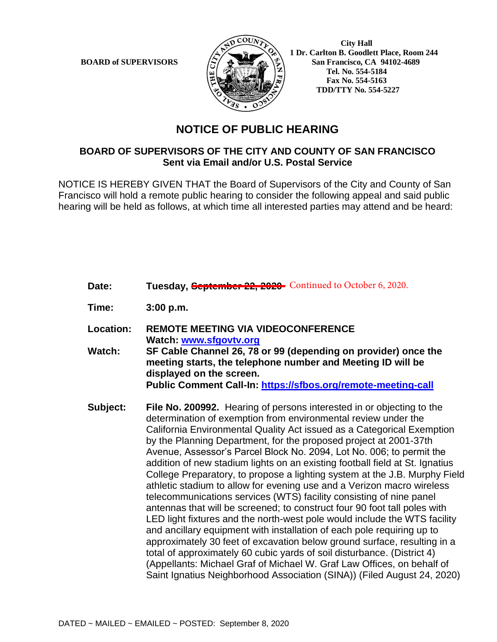

 **City Hall 1 Dr. Carlton B. Goodlett Place, Room 244 BOARD of SUPERVISORS**  $\left(\frac{S}{I}\right)$   $\oplus$   $\left(\frac{S}{I}\right)$  San Francisco, CA 94102-4689  **Tel. No. 554-5184 Fax No. 554-5163 TDD/TTY No. 554-5227**

## **NOTICE OF PUBLIC HEARING**

## **BOARD OF SUPERVISORS OF THE CITY AND COUNTY OF SAN FRANCISCO Sent via Email and/or U.S. Postal Service**

NOTICE IS HEREBY GIVEN THAT the Board of Supervisors of the City and County of San Francisco will hold a remote public hearing to consider the following appeal and said public hearing will be held as follows, at which time all interested parties may attend and be heard:

Date: Tuesday, **Geptember 22, 2020** Continued to October 6, 2020. **Time: 3:00 p.m. Location: REMOTE MEETING VIA VIDEOCONFERENCE Watch: www.sfgovtv.org Watch: SF Cable Channel 26, 78 or 99 (depending on provider) once the meeting starts, the telephone number and Meeting ID will be displayed on the screen. Public Comment Call-In: https://sfbos.org/remote-meeting-call Subject: File No. 200992.** Hearing of persons interested in or objecting to the determination of exemption from environmental review under the California Environmental Quality Act issued as a Categorical Exemption by the Planning Department, for the proposed project at 2001-37th Avenue, Assessor's Parcel Block No. 2094, Lot No. 006; to permit the addition of new stadium lights on an existing football field at St. Ignatius College Preparatory, to propose a lighting system at the J.B. Murphy Field athletic stadium to allow for evening use and a Verizon macro wireless telecommunications services (WTS) facility consisting of nine panel antennas that will be screened; to construct four 90 foot tall poles with LED light fixtures and the north-west pole would include the WTS facility and ancillary equipment with installation of each pole requiring up to

> approximately 30 feet of excavation below ground surface, resulting in a total of approximately 60 cubic yards of soil disturbance. (District 4) (Appellants: Michael Graf of Michael W. Graf Law Offices, on behalf of Saint Ignatius Neighborhood Association (SINA)) (Filed August 24, 2020)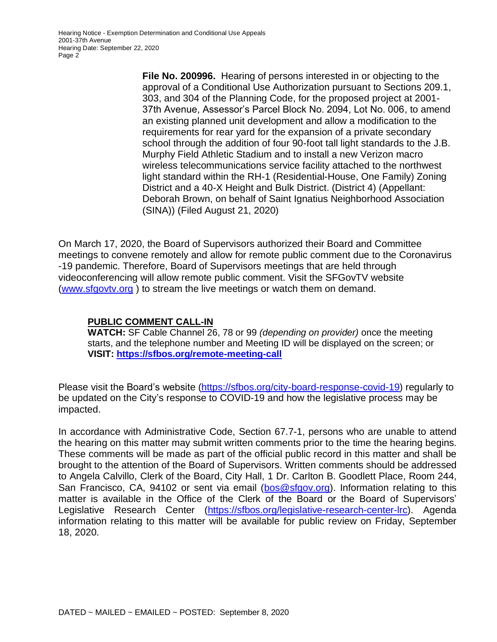Hearing Notice - Exemption Determination and Conditional Use Appeals 2001-37th Avenue Hearing Date: September 22, 2020 Page 2

> **File No. 200996.** Hearing of persons interested in or objecting to the approval of a Conditional Use Authorization pursuant to Sections 209.1, 303, and 304 of the Planning Code, for the proposed project at 2001- 37th Avenue, Assessor's Parcel Block No. 2094, Lot No. 006, to amend an existing planned unit development and allow a modification to the requirements for rear yard for the expansion of a private secondary school through the addition of four 90-foot tall light standards to the J.B. Murphy Field Athletic Stadium and to install a new Verizon macro wireless telecommunications service facility attached to the northwest light standard within the RH-1 (Residential-House, One Family) Zoning District and a 40-X Height and Bulk District. (District 4) (Appellant: Deborah Brown, on behalf of Saint Ignatius Neighborhood Association (SINA)) (Filed August 21, 2020)

On March 17, 2020, the Board of Supervisors authorized their Board and Committee meetings to convene remotely and allow for remote public comment due to the Coronavirus -19 pandemic. Therefore, Board of Supervisors meetings that are held through videoconferencing will allow remote public comment. Visit the SFGovTV website (www.sfgovtv.org ) to stream the live meetings or watch them on demand.

## **PUBLIC COMMENT CALL-IN**

**WATCH:** SF Cable Channel 26, 78 or 99 *(depending on provider)* once the meeting starts, and the telephone number and Meeting ID will be displayed on the screen; or **VISIT: https://sfbos.org/remote-meeting-call**

Please visit the Board's website (https://sfbos.org/city-board-response-covid-19) regularly to be updated on the City's response to COVID-19 and how the legislative process may be impacted.

In accordance with Administrative Code, Section 67.7-1, persons who are unable to attend the hearing on this matter may submit written comments prior to the time the hearing begins. These comments will be made as part of the official public record in this matter and shall be brought to the attention of the Board of Supervisors. Written comments should be addressed to Angela Calvillo, Clerk of the Board, City Hall, 1 Dr. Carlton B. Goodlett Place, Room 244, San Francisco, CA, 94102 or sent via email (bos@sfgov.org). Information relating to this matter is available in the Office of the Clerk of the Board or the Board of Supervisors' Legislative Research Center (https://sfbos.org/legislative-research-center-lrc). Agenda information relating to this matter will be available for public review on Friday, September 18, 2020.